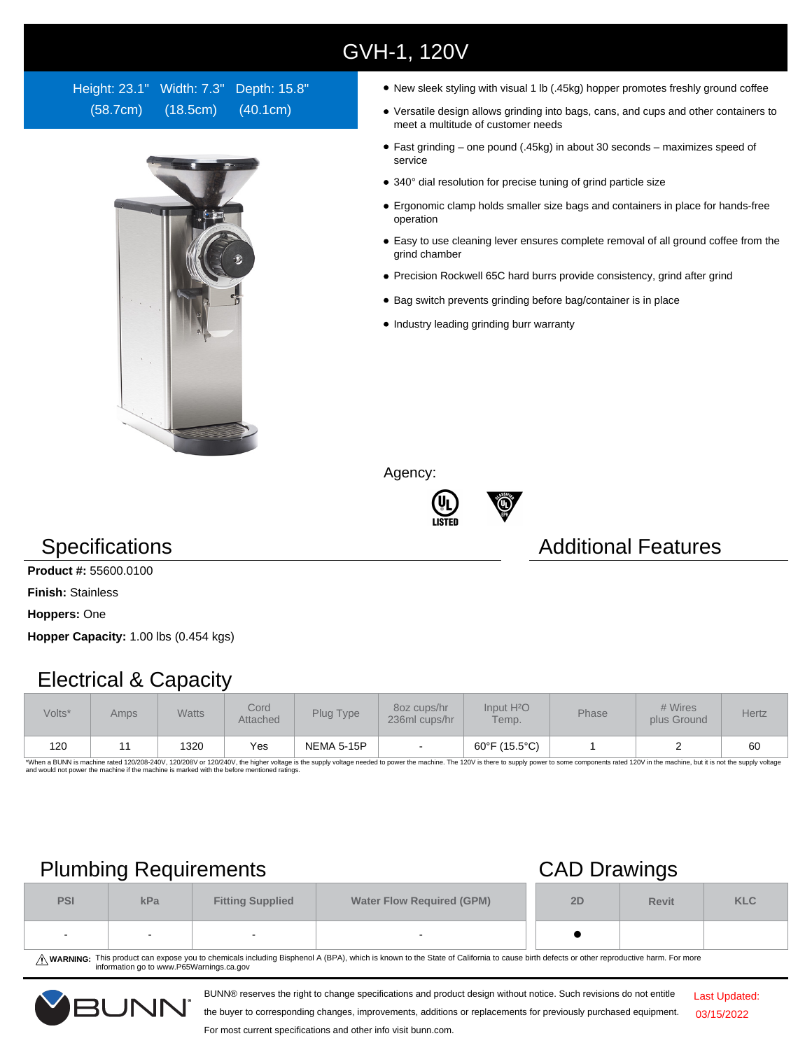## GVH-1, 120V

Height: 23.1" Width: 7.3" Depth: 15.8" (58.7cm) (18.5cm) (40.1cm)



- New sleek styling with visual 1 lb (.45kg) hopper promotes freshly ground coffee
- Versatile design allows grinding into bags, cans, and cups and other containers to meet a multitude of customer needs
- Fast grinding one pound (.45kg) in about 30 seconds maximizes speed of service
- 340° dial resolution for precise tuning of grind particle size
- Ergonomic clamp holds smaller size bags and containers in place for hands-free operation
- Easy to use cleaning lever ensures complete removal of all ground coffee from the grind chamber
- Precision Rockwell 65C hard burrs provide consistency, grind after grind
- Bag switch prevents grinding before bag/container is in place
- Industry leading grinding burr warranty

Agency:





## **Specifications Additional Features**

**Product #:** 55600.0100

**Finish:** Stainless

**Hoppers:** One

**Hopper Capacity:** 1.00 lbs (0.454 kgs)

#### Electrical & Capacity

| Volts* | Amps | <b>Watts</b> | Cord<br>Attached | Plug Type         | 80z cups/hr<br>236ml cups/hr | Input H <sup>2</sup> O<br>Temp. | Phase | # Wires<br>plus Ground | Hertz |
|--------|------|--------------|------------------|-------------------|------------------------------|---------------------------------|-------|------------------------|-------|
| 120    |      | 1320         | Yes              | <b>NEMA 5-15P</b> |                              | 60°F (15.5°C)                   |       |                        | 60    |

\*When a BUNN is machine rated 120/208-240V, 120/208V or 120/240V, the higher voltage is the supply voltage needed to power the machine. The 120V is there to supply power to some components rated 120V in the machine, but it

## Plumbing Requirements CAD Drawings

| <b>PSI</b> | kPa    | <b>Fitting Supplied</b> | <b>Water Flow Required (GPM)</b> |  | <b>Revit</b> | <b>KLC</b> |
|------------|--------|-------------------------|----------------------------------|--|--------------|------------|
| $\sim$     | $\sim$ |                         | $\overline{\phantom{a}}$         |  |              |            |

WARNING: This product can expose you to chemicals including Bisphenol A (BPA), which is known to the State of California to cause birth defects or other reproductive harm. For more<br>information go to www.P65Warnings.ca.gov

BUNN® reserves the right to change specifications and product design without notice. Such revisions do not entitle



the buyer to corresponding changes, improvements, additions or replacements for previously purchased equipment. For most current specifications and other info visit bunn.com.

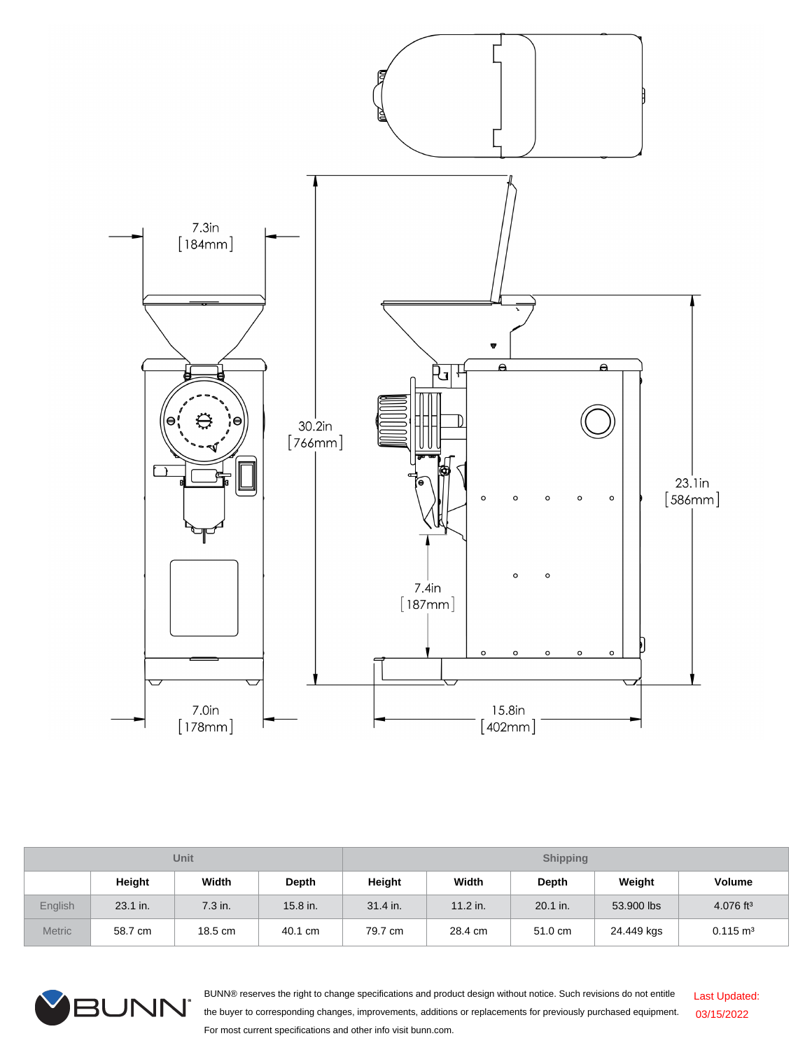

| Unit          |          |         |              | <b>Shipping</b> |          |          |            |                         |  |
|---------------|----------|---------|--------------|-----------------|----------|----------|------------|-------------------------|--|
|               | Height   | Width   | <b>Depth</b> | Height          | Width    | Depth    | Weight     | Volume                  |  |
| English       | 23.1 in. | 7.3 in. | 15.8 in.     | 31.4 in.        | 11.2 in. | 20.1 in. | 53,900 lbs | $4.076$ ft <sup>3</sup> |  |
| <b>Metric</b> | 58.7 cm  | 18.5 cm | 40.1 cm      | 79.7 cm         | 28.4 cm  | 51.0 cm  | 24.449 kgs | $0.115 \text{ m}^3$     |  |



BUNN® reserves the right to change specifications and product design without notice. Such revisions do not entitle the buyer to corresponding changes, improvements, additions or replacements for previously purchased equipment. For most current specifications and other info visit bunn.com. Last Updated: 03/15/2022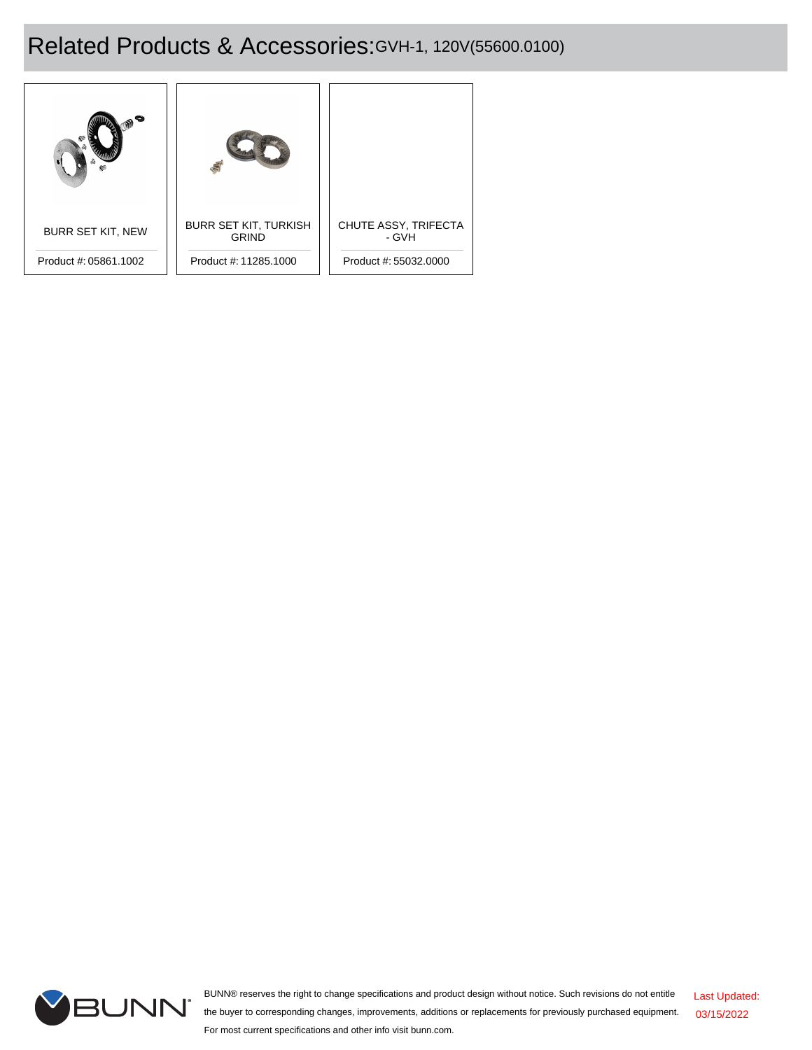# Related Products & Accessories:GVH-1, 120V(55600.0100)